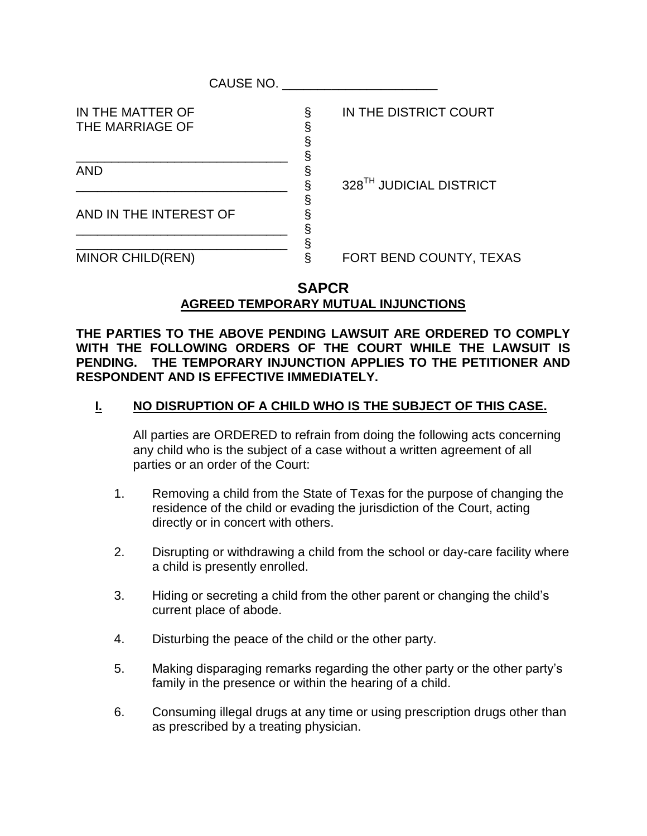| CAUSE NO.                           |  |                                     |  |  |
|-------------------------------------|--|-------------------------------------|--|--|
| IN THE MATTER OF<br>THE MARRIAGE OF |  | IN THE DISTRICT COURT               |  |  |
| <b>AND</b>                          |  | 328 <sup>TH</sup> JUDICIAL DISTRICT |  |  |
| AND IN THE INTEREST OF              |  |                                     |  |  |
| <b>MINOR CHILD(REN)</b>             |  | FORT BEND COUNTY, TEXAS             |  |  |

## **SAPCR AGREED TEMPORARY MUTUAL INJUNCTIONS**

**THE PARTIES TO THE ABOVE PENDING LAWSUIT ARE ORDERED TO COMPLY WITH THE FOLLOWING ORDERS OF THE COURT WHILE THE LAWSUIT IS PENDING. THE TEMPORARY INJUNCTION APPLIES TO THE PETITIONER AND RESPONDENT AND IS EFFECTIVE IMMEDIATELY.**

## **I. NO DISRUPTION OF A CHILD WHO IS THE SUBJECT OF THIS CASE.**

All parties are ORDERED to refrain from doing the following acts concerning any child who is the subject of a case without a written agreement of all parties or an order of the Court:

- 1. Removing a child from the State of Texas for the purpose of changing the residence of the child or evading the jurisdiction of the Court, acting directly or in concert with others.
- 2. Disrupting or withdrawing a child from the school or day-care facility where a child is presently enrolled.
- 3. Hiding or secreting a child from the other parent or changing the child's current place of abode.
- 4. Disturbing the peace of the child or the other party.
- 5. Making disparaging remarks regarding the other party or the other party's family in the presence or within the hearing of a child.
- 6. Consuming illegal drugs at any time or using prescription drugs other than as prescribed by a treating physician.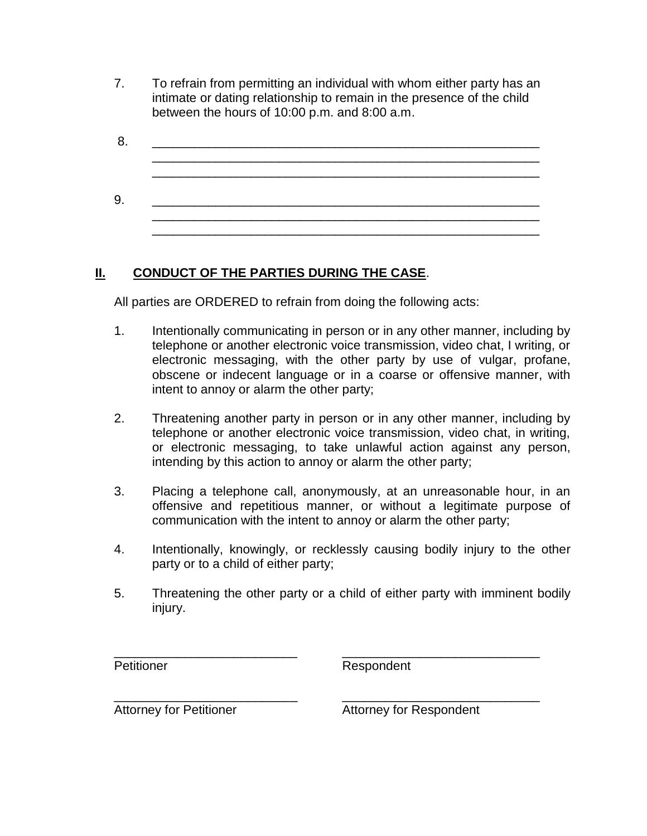7. To refrain from permitting an individual with whom either party has an intimate or dating relationship to remain in the presence of the child between the hours of 10:00 p.m. and 8:00 a.m.

| 8  |  |  |  |  |
|----|--|--|--|--|
|    |  |  |  |  |
|    |  |  |  |  |
|    |  |  |  |  |
| 9. |  |  |  |  |
|    |  |  |  |  |
|    |  |  |  |  |

## **II. CONDUCT OF THE PARTIES DURING THE CASE**.

All parties are ORDERED to refrain from doing the following acts:

- 1. Intentionally communicating in person or in any other manner, including by telephone or another electronic voice transmission, video chat, I writing, or electronic messaging, with the other party by use of vulgar, profane, obscene or indecent language or in a coarse or offensive manner, with intent to annoy or alarm the other party;
- 2. Threatening another party in person or in any other manner, including by telephone or another electronic voice transmission, video chat, in writing, or electronic messaging, to take unlawful action against any person, intending by this action to annoy or alarm the other party;
- 3. Placing a telephone call, anonymously, at an unreasonable hour, in an offensive and repetitious manner, or without a legitimate purpose of communication with the intent to annoy or alarm the other party;
- 4. Intentionally, knowingly, or recklessly causing bodily injury to the other party or to a child of either party;
- 5. Threatening the other party or a child of either party with imminent bodily injury.

\_\_\_\_\_\_\_\_\_\_\_\_\_\_\_\_\_\_\_\_\_\_\_\_\_\_ \_\_\_\_\_\_\_\_\_\_\_\_\_\_\_\_\_\_\_\_\_\_\_\_\_\_\_\_ Petitioner Respondent

\_\_\_\_\_\_\_\_\_\_\_\_\_\_\_\_\_\_\_\_\_\_\_\_\_\_ \_\_\_\_\_\_\_\_\_\_\_\_\_\_\_\_\_\_\_\_\_\_\_\_\_\_\_\_ Attorney for Petitioner **Attorney for Respondent**